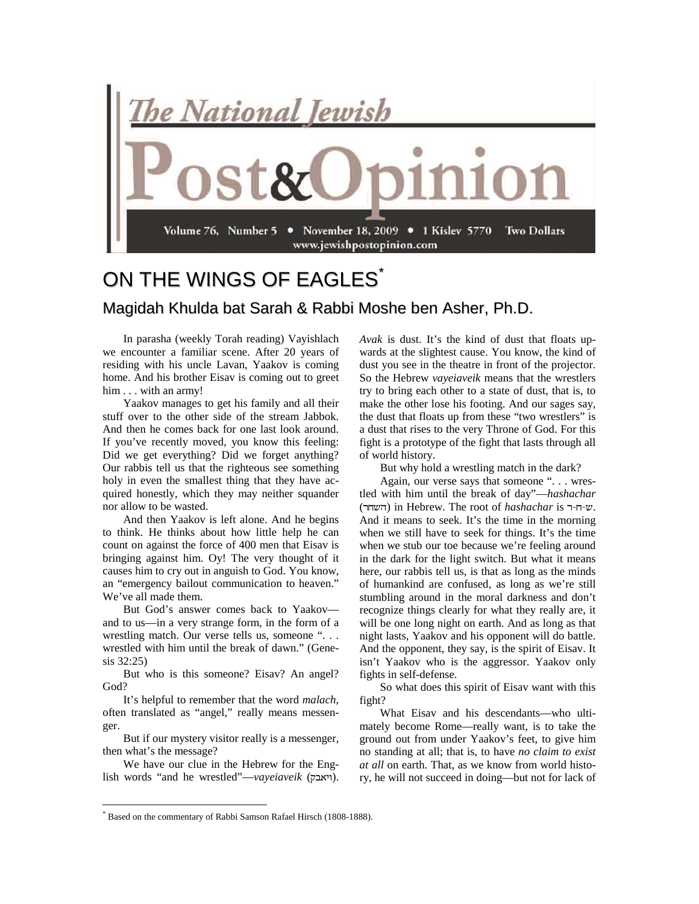

## ON THE WINGS OF EAGLES<sup>[\\*](#page-0-0)</sup> Magidah Khulda bat Sarah & Rabbi Moshe ben Asher, Ph.D.

In parasha (weekly Torah reading) Vayishlach we encounter a familiar scene. After 20 years of residing with his uncle Lavan, Yaakov is coming home. And his brother Eisav is coming out to greet him . . . with an army!

Yaakov manages to get his family and all their stuff over to the other side of the stream Jabbok. And then he comes back for one last look around. If you've recently moved, you know this feeling: Did we get everything? Did we forget anything? Our rabbis tell us that the righteous see something holy in even the smallest thing that they have acquired honestly, which they may neither squander nor allow to be wasted.

And then Yaakov is left alone. And he begins to think. He thinks about how little help he can count on against the force of 400 men that Eisav is bringing against him. Oy! The very thought of it causes him to cry out in anguish to God. You know, an "emergency bailout communication to heaven." We've all made them.

But God's answer comes back to Yaakov and to us—in a very strange form, in the form of a wrestling match. Our verse tells us, someone ". . . wrestled with him until the break of dawn." (Genesis 32:25)

But who is this someone? Eisav? An angel? God?

It's helpful to remember that the word *malach*, often translated as "angel," really means messenger.

But if our mystery visitor really is a messenger, then what's the message?

We have our clue in the Hebrew for the English words "and he wrestled"—*vayeiaveik* (ויאבק). *Avak* is dust. It's the kind of dust that floats upwards at the slightest cause. You know, the kind of dust you see in the theatre in front of the projector. So the Hebrew *vayeiaveik* means that the wrestlers try to bring each other to a state of dust, that is, to make the other lose his footing. And our sages say, the dust that floats up from these "two wrestlers" is a dust that rises to the very Throne of God. For this fight is a prototype of the fight that lasts through all of world history.

But why hold a wrestling match in the dark?

Again, our verse says that someone ". . . wrestled with him until the break of day"—*hashachar* (השחר) in Hebrew. The root of *hashachar* is -רד- $v$ . And it means to seek. It's the time in the morning when we still have to seek for things. It's the time when we stub our toe because we're feeling around in the dark for the light switch. But what it means here, our rabbis tell us, is that as long as the minds of humankind are confused, as long as we're still stumbling around in the moral darkness and don't recognize things clearly for what they really are, it will be one long night on earth. And as long as that night lasts, Yaakov and his opponent will do battle. And the opponent, they say, is the spirit of Eisav. It isn't Yaakov who is the aggressor. Yaakov only fights in self-defense.

So what does this spirit of Eisav want with this fight?

What Eisav and his descendants—who ultimately become Rome—really want, is to take the ground out from under Yaakov's feet, to give him no standing at all; that is, to have *no claim to exist at all* on earth. That, as we know from world history, he will not succeed in doing—but not for lack of

<span id="page-0-0"></span> <sup>\*</sup> Based on the commentary of Rabbi Samson Rafael Hirsch (1808-1888).